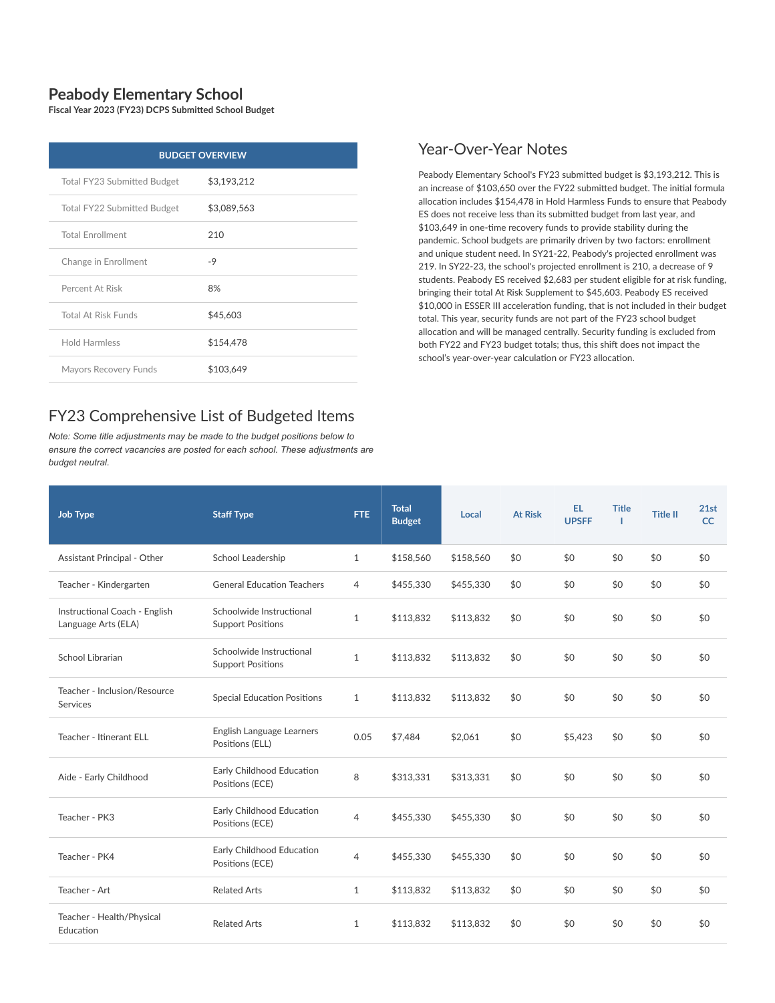## **Peabody Elementary School**

**Fiscal Year 2023 (FY23) DCPS Submitted School Budget**

| <b>BUDGET OVERVIEW</b>      |             |  |  |  |  |
|-----------------------------|-------------|--|--|--|--|
| Total FY23 Submitted Budget | \$3,193,212 |  |  |  |  |
| Total FY22 Submitted Budget | \$3,089,563 |  |  |  |  |
| <b>Total Enrollment</b>     | 210         |  |  |  |  |
| Change in Enrollment        | -9          |  |  |  |  |
| Percent At Risk             | 8%          |  |  |  |  |
| <b>Total At Risk Funds</b>  | \$45,603    |  |  |  |  |
| <b>Hold Harmless</b>        | \$154,478   |  |  |  |  |
| Mayors Recovery Funds       | \$103,649   |  |  |  |  |

## FY23 Comprehensive List of Budgeted Items

*Note: Some title adjustments may be made to the budget positions below to ensure the correct vacancies are posted for each school. These adjustments are budget neutral.*

## Year-Over-Year Notes

Peabody Elementary School's FY23 submitted budget is \$3,193,212. This is an increase of \$103,650 over the FY22 submitted budget. The initial formula allocation includes \$154,478 in Hold Harmless Funds to ensure that Peabody ES does not receive less than its submitted budget from last year, and \$103,649 in one-time recovery funds to provide stability during the pandemic. School budgets are primarily driven by two factors: enrollment and unique student need. In SY21-22, Peabody's projected enrollment was 219. In SY22-23, the school's projected enrollment is 210, a decrease of 9 students. Peabody ES received \$2,683 per student eligible for at risk funding, bringing their total At Risk Supplement to \$45,603. Peabody ES received \$10,000 in ESSER III acceleration funding, that is not included in their budget total. This year, security funds are not part of the FY23 school budget allocation and will be managed centrally. Security funding is excluded from both FY22 and FY23 budget totals; thus, this shift does not impact the school's year-over-year calculation or FY23 allocation.

| Job Type                                             | <b>Staff Type</b>                                    | FTE.           | <b>Total</b><br><b>Budget</b> | Local     | <b>At Risk</b> | EL.<br><b>UPSFF</b> | <b>Title</b> | <b>Title II</b> | 21st<br><b>CC</b> |
|------------------------------------------------------|------------------------------------------------------|----------------|-------------------------------|-----------|----------------|---------------------|--------------|-----------------|-------------------|
| Assistant Principal - Other                          | School Leadership                                    | $\mathbf{1}$   | \$158,560                     | \$158,560 | \$0            | \$0                 | \$0          | \$0             | \$0               |
| Teacher - Kindergarten                               | <b>General Education Teachers</b>                    | 4              | \$455,330                     | \$455,330 | \$0            | \$0                 | \$0          | \$0             | \$0               |
| Instructional Coach - English<br>Language Arts (ELA) | Schoolwide Instructional<br><b>Support Positions</b> | $\mathbf{1}$   | \$113,832                     | \$113.832 | \$0            | \$0                 | \$0          | \$0             | \$0               |
| School Librarian                                     | Schoolwide Instructional<br><b>Support Positions</b> | $\mathbf{1}$   | \$113,832                     | \$113,832 | \$0            | \$0                 | \$0          | \$0             | \$0               |
| Teacher - Inclusion/Resource<br>Services             | <b>Special Education Positions</b>                   | $\mathbf{1}$   | \$113,832                     | \$113.832 | \$0            | \$0                 | \$0          | \$0             | \$0               |
| Teacher - Itinerant ELL                              | English Language Learners<br>Positions (ELL)         | 0.05           | \$7,484                       | \$2,061   | \$0            | \$5.423             | \$0          | \$0             | \$0               |
| Aide - Early Childhood                               | Early Childhood Education<br>Positions (ECE)         | 8              | \$313,331                     | \$313,331 | \$0            | \$0                 | \$0          | \$0             | \$0               |
| Teacher - PK3                                        | Early Childhood Education<br>Positions (ECE)         | $\overline{4}$ | \$455,330                     | \$455.330 | \$0            | \$0                 | \$0          | \$0             | \$0               |
| Teacher - PK4                                        | Early Childhood Education<br>Positions (ECE)         | 4              | \$455,330                     | \$455,330 | \$0            | \$0                 | \$0          | \$0             | \$0               |
| Teacher - Art                                        | <b>Related Arts</b>                                  | $\mathbf{1}$   | \$113,832                     | \$113,832 | \$0            | \$0                 | \$0          | \$0             | \$0               |
| Teacher - Health/Physical<br>Education               | <b>Related Arts</b>                                  | $\mathbf{1}$   | \$113,832                     | \$113.832 | \$0            | \$0                 | \$0          | \$0             | \$0               |